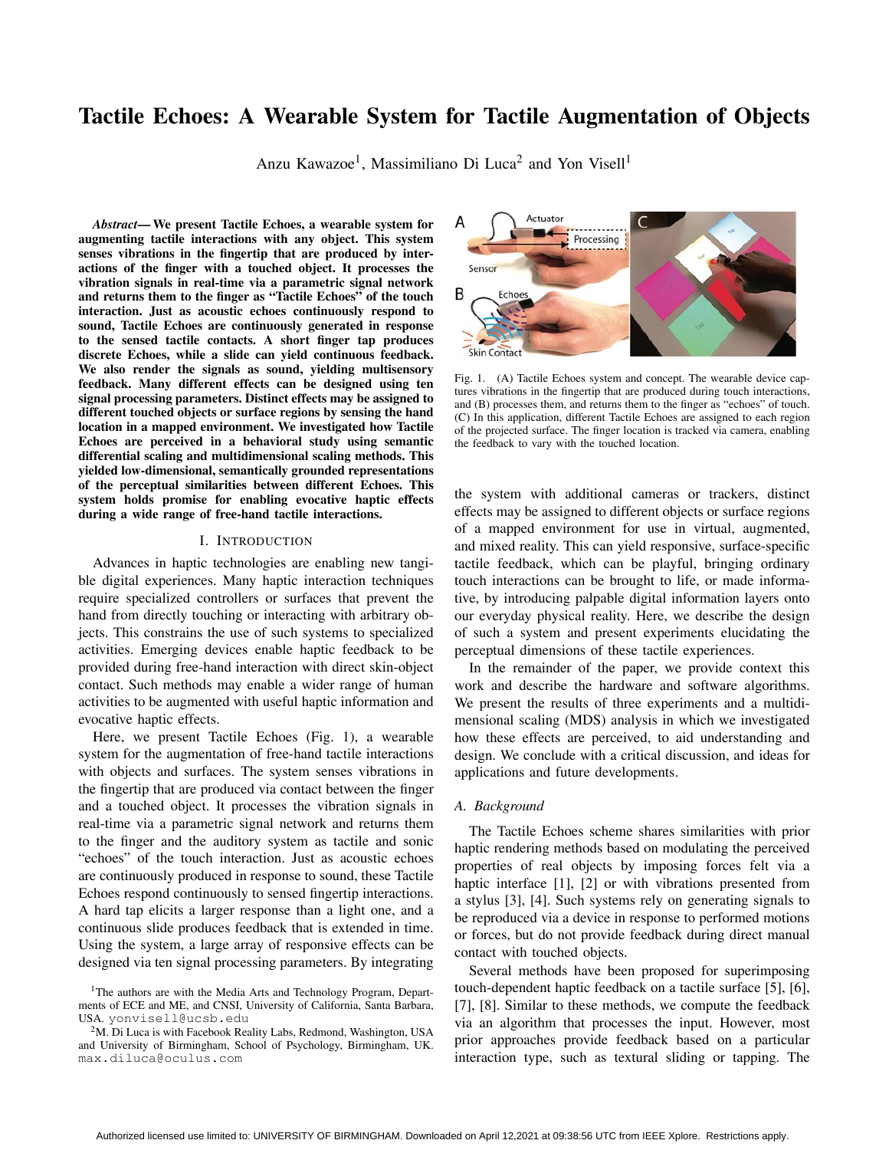# Tactile Echoes: A Wearable System for Tactile Augmentation of Objects

Anzu Kawazoe<sup>1</sup>, Massimiliano Di Luca<sup>2</sup> and Yon Visell<sup>1</sup>

*Abstract*— We present Tactile Echoes, a wearable system for augmenting tactile interactions with any object. This system senses vibrations in the fingertip that are produced by interactions of the finger with a touched object. It processes the vibration signals in real-time via a parametric signal network and returns them to the finger as "Tactile Echoes" of the touch interaction. Just as acoustic echoes continuously respond to sound, Tactile Echoes are continuously generated in response to the sensed tactile contacts. A short finger tap produces discrete Echoes, while a slide can yield continuous feedback. We also render the signals as sound, yielding multisensory feedback. Many different effects can be designed using ten signal processing parameters. Distinct effects may be assigned to different touched objects or surface regions by sensing the hand location in a mapped environment. We investigated how Tactile Echoes are perceived in a behavioral study using semantic differential scaling and multidimensional scaling methods. This yielded low-dimensional, semantically grounded representations of the perceptual similarities between different Echoes. This system holds promise for enabling evocative haptic effects during a wide range of free-hand tactile interactions.

## I. INTRODUCTION

Advances in haptic technologies are enabling new tangible digital experiences. Many haptic interaction techniques require specialized controllers or surfaces that prevent the hand from directly touching or interacting with arbitrary objects. This constrains the use of such systems to specialized activities. Emerging devices enable haptic feedback to be provided during free-hand interaction with direct skin-object contact. Such methods may enable a wider range of human activities to be augmented with useful haptic information and evocative haptic effects.

Here, we present Tactile Echoes (Fig. 1), a wearable system for the augmentation of free-hand tactile interactions with objects and surfaces. The system senses vibrations in the fingertip that are produced via contact between the finger and a touched object. It processes the vibration signals in real-time via a parametric signal network and returns them to the finger and the auditory system as tactile and sonic "echoes" of the touch interaction. Just as acoustic echoes are continuously produced in response to sound, these Tactile Echoes respond continuously to sensed fingertip interactions. A hard tap elicits a larger response than a light one, and a continuous slide produces feedback that is extended in time. Using the system, a large array of responsive effects can be designed via ten signal processing parameters. By integrating



Fig. 1. (A) Tactile Echoes system and concept. The wearable device captures vibrations in the fingertip that are produced during touch interactions, and (B) processes them, and returns them to the finger as "echoes" of touch. (C) In this application, different Tactile Echoes are assigned to each region of the projected surface. The finger location is tracked via camera, enabling the feedback to vary with the touched location.

the system with additional cameras or trackers, distinct effects may be assigned to different objects or surface regions of a mapped environment for use in virtual, augmented, and mixed reality. This can yield responsive, surface-specific tactile feedback, which can be playful, bringing ordinary touch interactions can be brought to life, or made informative, by introducing palpable digital information layers onto our everyday physical reality. Here, we describe the design of such a system and present experiments elucidating the perceptual dimensions of these tactile experiences.

In the remainder of the paper, we provide context this work and describe the hardware and software algorithms. We present the results of three experiments and a multidimensional scaling (MDS) analysis in which we investigated how these effects are perceived, to aid understanding and design. We conclude with a critical discussion, and ideas for applications and future developments.

### *A. Background*

The Tactile Echoes scheme shares similarities with prior haptic rendering methods based on modulating the perceived properties of real objects by imposing forces felt via a haptic interface [1], [2] or with vibrations presented from a stylus [3], [4]. Such systems rely on generating signals to be reproduced via a device in response to performed motions or forces, but do not provide feedback during direct manual contact with touched objects.

Several methods have been proposed for superimposing touch-dependent haptic feedback on a tactile surface [5], [6], [7], [8]. Similar to these methods, we compute the feedback via an algorithm that processes the input. However, most prior approaches provide feedback based on a particular interaction type, such as textural sliding or tapping. The

<sup>&</sup>lt;sup>1</sup>The authors are with the Media Arts and Technology Program, Departments of ECE and ME, and CNSI, University of California, Santa Barbara, USA. yonvisell@ucsb.edu

 $2<sup>2</sup>M$ . Di Luca is with Facebook Reality Labs, Redmond, Washington, USA and University of Birmingham, School of Psychology, Birmingham, UK. max.diluca@oculus.com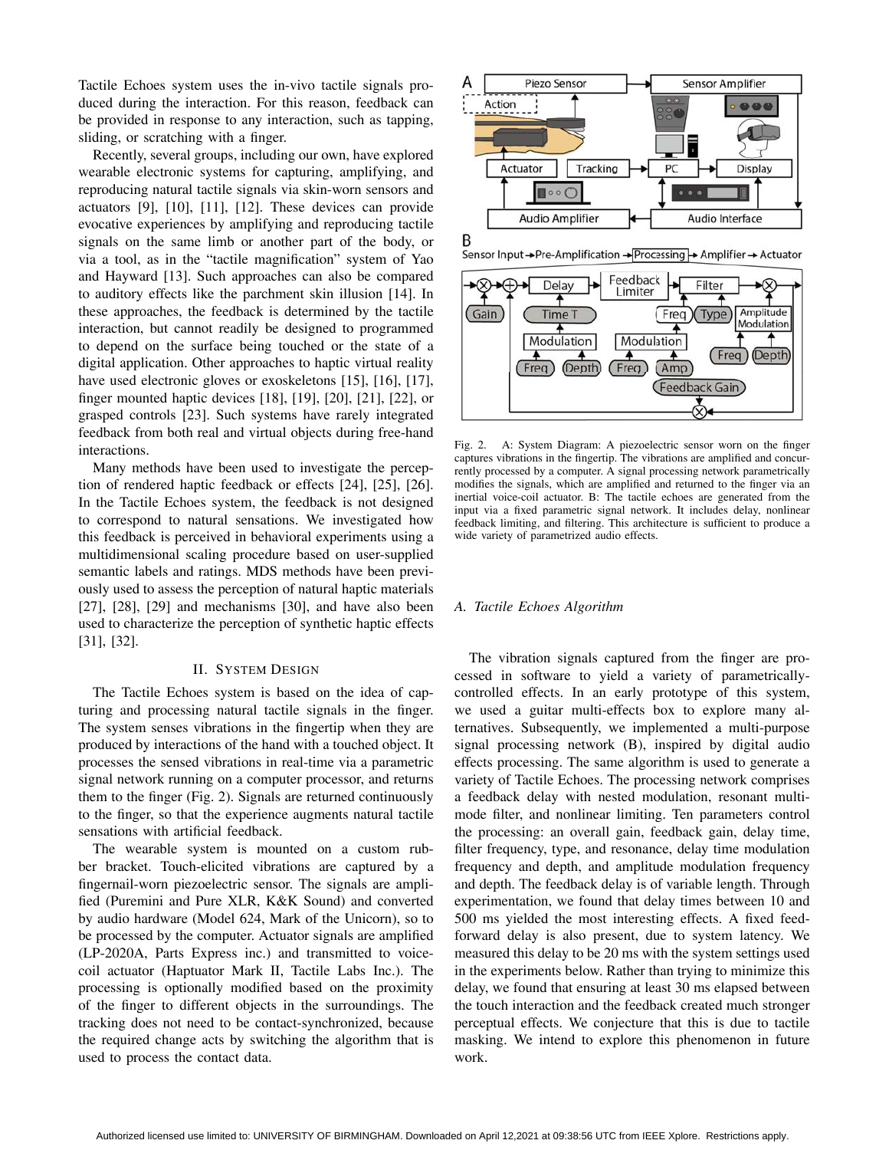Tactile Echoes system uses the in-vivo tactile signals produced during the interaction. For this reason, feedback can be provided in response to any interaction, such as tapping, sliding, or scratching with a finger.

Recently, several groups, including our own, have explored wearable electronic systems for capturing, amplifying, and reproducing natural tactile signals via skin-worn sensors and actuators [9], [10], [11], [12]. These devices can provide evocative experiences by amplifying and reproducing tactile signals on the same limb or another part of the body, or via a tool, as in the "tactile magnification" system of Yao and Hayward [13]. Such approaches can also be compared to auditory effects like the parchment skin illusion [14]. In these approaches, the feedback is determined by the tactile interaction, but cannot readily be designed to programmed to depend on the surface being touched or the state of a digital application. Other approaches to haptic virtual reality have used electronic gloves or exoskeletons [15], [16], [17], finger mounted haptic devices [18], [19], [20], [21], [22], or grasped controls [23]. Such systems have rarely integrated feedback from both real and virtual objects during free-hand interactions.

Many methods have been used to investigate the perception of rendered haptic feedback or effects [24], [25], [26]. In the Tactile Echoes system, the feedback is not designed to correspond to natural sensations. We investigated how this feedback is perceived in behavioral experiments using a multidimensional scaling procedure based on user-supplied semantic labels and ratings. MDS methods have been previously used to assess the perception of natural haptic materials [27], [28], [29] and mechanisms [30], and have also been used to characterize the perception of synthetic haptic effects [31], [32].

## II. SYSTEM DESIGN

The Tactile Echoes system is based on the idea of capturing and processing natural tactile signals in the finger. The system senses vibrations in the fingertip when they are produced by interactions of the hand with a touched object. It processes the sensed vibrations in real-time via a parametric signal network running on a computer processor, and returns them to the finger (Fig. 2). Signals are returned continuously to the finger, so that the experience augments natural tactile sensations with artificial feedback.

The wearable system is mounted on a custom rubber bracket. Touch-elicited vibrations are captured by a fingernail-worn piezoelectric sensor. The signals are amplified (Puremini and Pure XLR, K&K Sound) and converted by audio hardware (Model 624, Mark of the Unicorn), so to be processed by the computer. Actuator signals are amplified (LP-2020A, Parts Express inc.) and transmitted to voicecoil actuator (Haptuator Mark II, Tactile Labs Inc.). The processing is optionally modified based on the proximity of the finger to different objects in the surroundings. The tracking does not need to be contact-synchronized, because the required change acts by switching the algorithm that is used to process the contact data.



Sensor Input→Pre-Amplification→Processing→ Amplifier → Actuator



Fig. 2. A: System Diagram: A piezoelectric sensor worn on the finger captures vibrations in the fingertip. The vibrations are amplified and concurrently processed by a computer. A signal processing network parametrically modifies the signals, which are amplified and returned to the finger via an inertial voice-coil actuator. B: The tactile echoes are generated from the input via a fixed parametric signal network. It includes delay, nonlinear feedback limiting, and filtering. This architecture is sufficient to produce a wide variety of parametrized audio effects.

### *A. Tactile Echoes Algorithm*

The vibration signals captured from the finger are processed in software to yield a variety of parametricallycontrolled effects. In an early prototype of this system, we used a guitar multi-effects box to explore many alternatives. Subsequently, we implemented a multi-purpose signal processing network (B), inspired by digital audio effects processing. The same algorithm is used to generate a variety of Tactile Echoes. The processing network comprises a feedback delay with nested modulation, resonant multimode filter, and nonlinear limiting. Ten parameters control the processing: an overall gain, feedback gain, delay time, filter frequency, type, and resonance, delay time modulation frequency and depth, and amplitude modulation frequency and depth. The feedback delay is of variable length. Through experimentation, we found that delay times between 10 and 500 ms yielded the most interesting effects. A fixed feedforward delay is also present, due to system latency. We measured this delay to be 20 ms with the system settings used in the experiments below. Rather than trying to minimize this delay, we found that ensuring at least 30 ms elapsed between the touch interaction and the feedback created much stronger perceptual effects. We conjecture that this is due to tactile masking. We intend to explore this phenomenon in future work.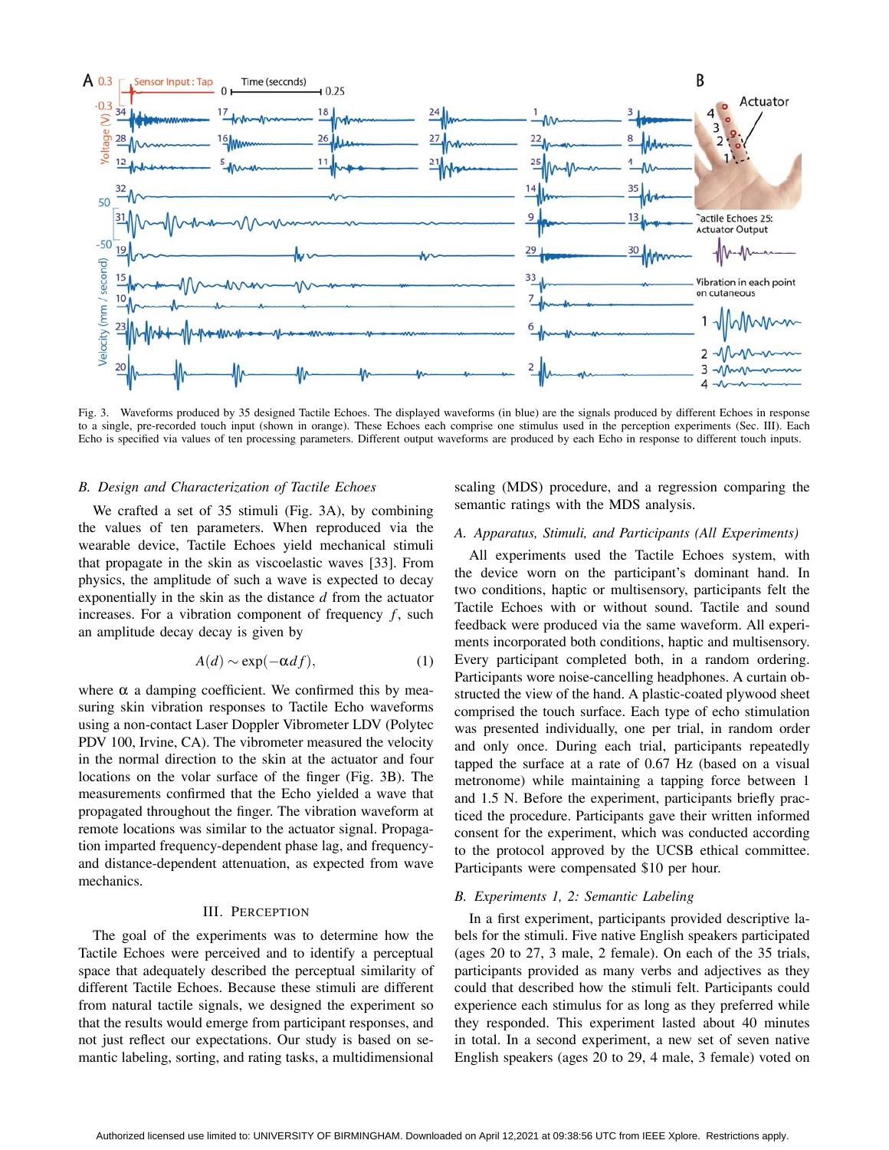

Fig. 3. Waveforms produced by 35 designed Tactile Echoes. The displayed waveforms (in blue) are the signals produced by different Echoes in response to a single, pre-recorded touch input (shown in orange). These Echoes each comprise one stimulus used in the perception experiments (Sec. III). Each Echo is specified via values of ten processing parameters. Different output waveforms are produced by each Echo in response to different touch inputs.

## *B. Design and Characterization of Tactile Echoes*

We crafted a set of 35 stimuli (Fig. 3A), by combining the values of ten parameters. When reproduced via the wearable device, Tactile Echoes yield mechanical stimuli that propagate in the skin as viscoelastic waves [33]. From physics, the amplitude of such a wave is expected to decay exponentially in the skin as the distance *d* from the actuator increases. For a vibration component of frequency  $f$ , such an amplitude decay decay is given by

$$
A(d) \sim \exp(-\alpha df), \tag{1}
$$

where  $\alpha$  a damping coefficient. We confirmed this by measuring skin vibration responses to Tactile Echo waveforms using a non-contact Laser Doppler Vibrometer LDV (Polytec PDV 100, Irvine, CA). The vibrometer measured the velocity in the normal direction to the skin at the actuator and four locations on the volar surface of the finger (Fig. 3B). The measurements confirmed that the Echo yielded a wave that propagated throughout the finger. The vibration waveform at remote locations was similar to the actuator signal. Propagation imparted frequency-dependent phase lag, and frequencyand distance-dependent attenuation, as expected from wave mechanics.

### III. PERCEPTION

The goal of the experiments was to determine how the Tactile Echoes were perceived and to identify a perceptual space that adequately described the perceptual similarity of different Tactile Echoes. Because these stimuli are different from natural tactile signals, we designed the experiment so that the results would emerge from participant responses, and not just reflect our expectations. Our study is based on semantic labeling, sorting, and rating tasks, a multidimensional

scaling (MDS) procedure, and a regression comparing the semantic ratings with the MDS analysis.

## *A. Apparatus, Stimuli, and Participants (All Experiments)*

All experiments used the Tactile Echoes system, with the device worn on the participant's dominant hand. In two conditions, haptic or multisensory, participants felt the Tactile Echoes with or without sound. Tactile and sound feedback were produced via the same waveform. All experiments incorporated both conditions, haptic and multisensory. Every participant completed both, in a random ordering. Participants wore noise-cancelling headphones. A curtain obstructed the view of the hand. A plastic-coated plywood sheet comprised the touch surface. Each type of echo stimulation was presented individually, one per trial, in random order and only once. During each trial, participants repeatedly tapped the surface at a rate of 0.67 Hz (based on a visual metronome) while maintaining a tapping force between 1 and 1.5 N. Before the experiment, participants briefly practiced the procedure. Participants gave their written informed consent for the experiment, which was conducted according to the protocol approved by the UCSB ethical committee. Participants were compensated \$10 per hour.

#### *B. Experiments 1, 2: Semantic Labeling*

In a first experiment, participants provided descriptive labels for the stimuli. Five native English speakers participated (ages 20 to 27, 3 male, 2 female). On each of the 35 trials, participants provided as many verbs and adjectives as they could that described how the stimuli felt. Participants could experience each stimulus for as long as they preferred while they responded. This experiment lasted about 40 minutes in total. In a second experiment, a new set of seven native English speakers (ages 20 to 29, 4 male, 3 female) voted on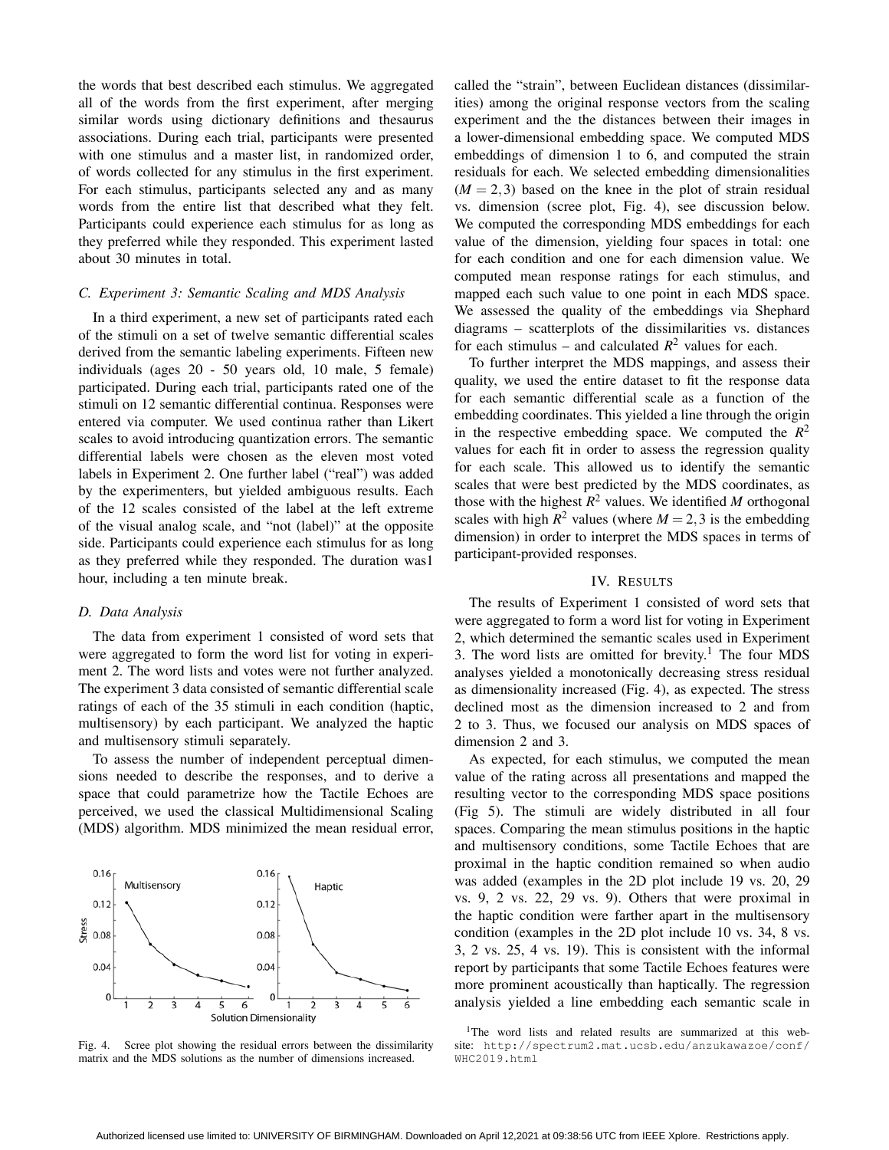the words that best described each stimulus. We aggregated all of the words from the first experiment, after merging similar words using dictionary definitions and thesaurus associations. During each trial, participants were presented with one stimulus and a master list, in randomized order, of words collected for any stimulus in the first experiment. For each stimulus, participants selected any and as many words from the entire list that described what they felt. Participants could experience each stimulus for as long as they preferred while they responded. This experiment lasted about 30 minutes in total.

## *C. Experiment 3: Semantic Scaling and MDS Analysis*

In a third experiment, a new set of participants rated each of the stimuli on a set of twelve semantic differential scales derived from the semantic labeling experiments. Fifteen new individuals (ages 20 - 50 years old, 10 male, 5 female) participated. During each trial, participants rated one of the stimuli on 12 semantic differential continua. Responses were entered via computer. We used continua rather than Likert scales to avoid introducing quantization errors. The semantic differential labels were chosen as the eleven most voted labels in Experiment 2. One further label ("real") was added by the experimenters, but yielded ambiguous results. Each of the 12 scales consisted of the label at the left extreme of the visual analog scale, and "not (label)" at the opposite side. Participants could experience each stimulus for as long as they preferred while they responded. The duration was1 hour, including a ten minute break.

#### *D. Data Analysis*

The data from experiment 1 consisted of word sets that were aggregated to form the word list for voting in experiment 2. The word lists and votes were not further analyzed. The experiment 3 data consisted of semantic differential scale ratings of each of the 35 stimuli in each condition (haptic, multisensory) by each participant. We analyzed the haptic and multisensory stimuli separately.

To assess the number of independent perceptual dimensions needed to describe the responses, and to derive a space that could parametrize how the Tactile Echoes are perceived, we used the classical Multidimensional Scaling (MDS) algorithm. MDS minimized the mean residual error,



Fig. 4. Scree plot showing the residual errors between the dissimilarity matrix and the MDS solutions as the number of dimensions increased.

called the "strain", between Euclidean distances (dissimilarities) among the original response vectors from the scaling experiment and the the distances between their images in a lower-dimensional embedding space. We computed MDS embeddings of dimension 1 to 6, and computed the strain residuals for each. We selected embedding dimensionalities  $(M = 2, 3)$  based on the knee in the plot of strain residual vs. dimension (scree plot, Fig. 4), see discussion below. We computed the corresponding MDS embeddings for each value of the dimension, yielding four spaces in total: one for each condition and one for each dimension value. We computed mean response ratings for each stimulus, and mapped each such value to one point in each MDS space. We assessed the quality of the embeddings via Shephard diagrams – scatterplots of the dissimilarities vs. distances for each stimulus – and calculated  $R^2$  values for each.

To further interpret the MDS mappings, and assess their quality, we used the entire dataset to fit the response data for each semantic differential scale as a function of the embedding coordinates. This yielded a line through the origin in the respective embedding space. We computed the  $R^2$ values for each fit in order to assess the regression quality for each scale. This allowed us to identify the semantic scales that were best predicted by the MDS coordinates, as those with the highest  $R^2$  values. We identified *M* orthogonal scales with high  $R^2$  values (where  $M = 2,3$  is the embedding dimension) in order to interpret the MDS spaces in terms of participant-provided responses.

## IV. RESULTS

The results of Experiment 1 consisted of word sets that were aggregated to form a word list for voting in Experiment 2, which determined the semantic scales used in Experiment 3. The word lists are omitted for brevity.<sup>1</sup> The four MDS analyses yielded a monotonically decreasing stress residual as dimensionality increased (Fig. 4), as expected. The stress declined most as the dimension increased to 2 and from 2 to 3. Thus, we focused our analysis on MDS spaces of dimension 2 and 3.

As expected, for each stimulus, we computed the mean value of the rating across all presentations and mapped the resulting vector to the corresponding MDS space positions (Fig 5). The stimuli are widely distributed in all four spaces. Comparing the mean stimulus positions in the haptic and multisensory conditions, some Tactile Echoes that are proximal in the haptic condition remained so when audio was added (examples in the 2D plot include 19 vs. 20, 29 vs. 9, 2 vs. 22, 29 vs. 9). Others that were proximal in the haptic condition were farther apart in the multisensory condition (examples in the 2D plot include 10 vs. 34, 8 vs. 3, 2 vs. 25, 4 vs. 19). This is consistent with the informal report by participants that some Tactile Echoes features were more prominent acoustically than haptically. The regression analysis yielded a line embedding each semantic scale in

<sup>1</sup>The word lists and related results are summarized at this website: http://spectrum2.mat.ucsb.edu/anzukawazoe/conf/ WHC2019.html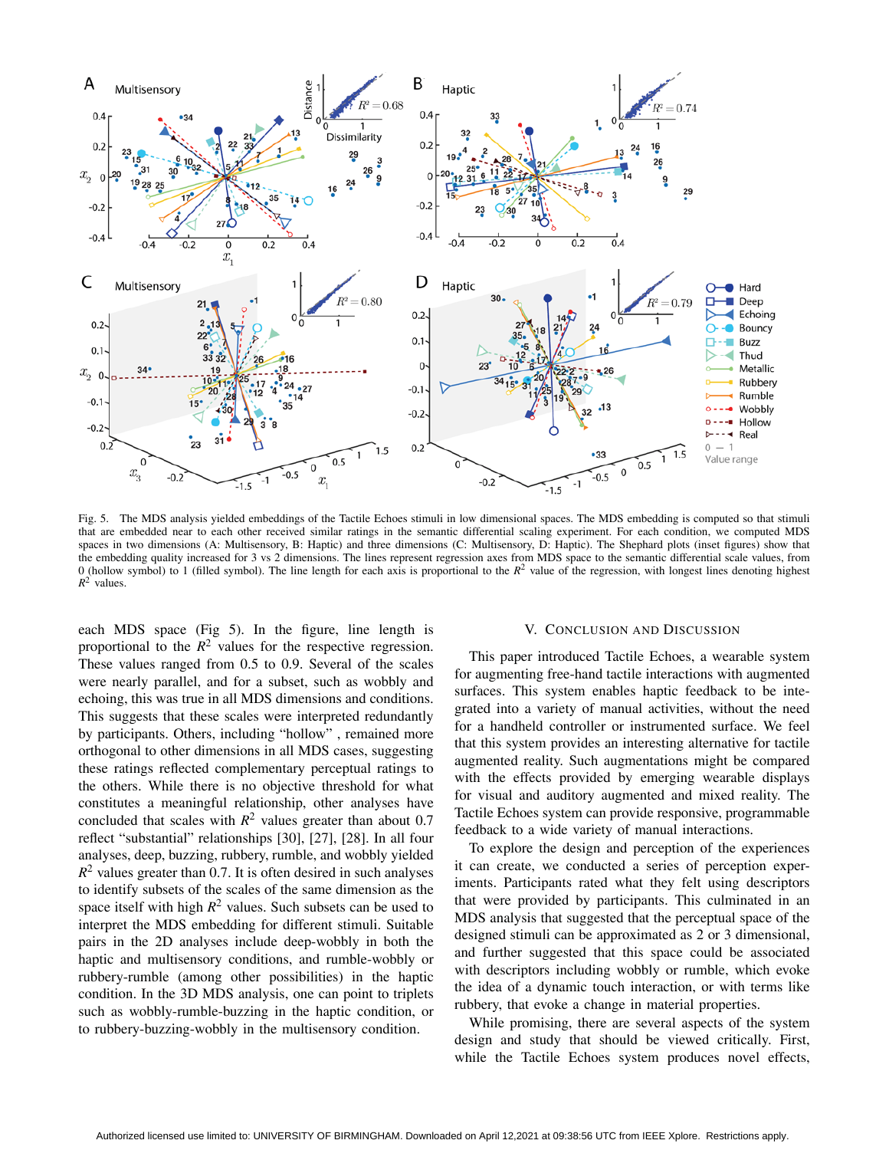

Fig. 5. The MDS analysis yielded embeddings of the Tactile Echoes stimuli in low dimensional spaces. The MDS embedding is computed so that stimuli that are embedded near to each other received similar ratings in the semantic differential scaling experiment. For each condition, we computed MDS spaces in two dimensions (A: Multisensory, B: Haptic) and three dimensions (C: Multisensory, D: Haptic). The Shephard plots (inset figures) show that the embedding quality increased for 3 vs 2 dimensions. The lines represent regression axes from MDS space to the semantic differential scale values, from 0 (hollow symbol) to 1 (filled symbol). The line length for each axis is proportional to the  $R^2$  value of the regression, with longest lines denoting highest  $R^2$  values.

each MDS space (Fig 5). In the figure, line length is proportional to the  $R^2$  values for the respective regression. These values ranged from 0.5 to 0.9. Several of the scales were nearly parallel, and for a subset, such as wobbly and echoing, this was true in all MDS dimensions and conditions. This suggests that these scales were interpreted redundantly by participants. Others, including "hollow" , remained more orthogonal to other dimensions in all MDS cases, suggesting these ratings reflected complementary perceptual ratings to the others. While there is no objective threshold for what constitutes a meaningful relationship, other analyses have concluded that scales with  $R^2$  values greater than about 0.7 reflect "substantial" relationships [30], [27], [28]. In all four analyses, deep, buzzing, rubbery, rumble, and wobbly yielded  $R^2$  values greater than 0.7. It is often desired in such analyses to identify subsets of the scales of the same dimension as the space itself with high  $R^2$  values. Such subsets can be used to interpret the MDS embedding for different stimuli. Suitable pairs in the 2D analyses include deep-wobbly in both the haptic and multisensory conditions, and rumble-wobbly or rubbery-rumble (among other possibilities) in the haptic condition. In the 3D MDS analysis, one can point to triplets such as wobbly-rumble-buzzing in the haptic condition, or to rubbery-buzzing-wobbly in the multisensory condition.

#### V. CONCLUSION AND DISCUSSION

This paper introduced Tactile Echoes, a wearable system for augmenting free-hand tactile interactions with augmented surfaces. This system enables haptic feedback to be integrated into a variety of manual activities, without the need for a handheld controller or instrumented surface. We feel that this system provides an interesting alternative for tactile augmented reality. Such augmentations might be compared with the effects provided by emerging wearable displays for visual and auditory augmented and mixed reality. The Tactile Echoes system can provide responsive, programmable feedback to a wide variety of manual interactions.

To explore the design and perception of the experiences it can create, we conducted a series of perception experiments. Participants rated what they felt using descriptors that were provided by participants. This culminated in an MDS analysis that suggested that the perceptual space of the designed stimuli can be approximated as 2 or 3 dimensional, and further suggested that this space could be associated with descriptors including wobbly or rumble, which evoke the idea of a dynamic touch interaction, or with terms like rubbery, that evoke a change in material properties.

While promising, there are several aspects of the system design and study that should be viewed critically. First, while the Tactile Echoes system produces novel effects,